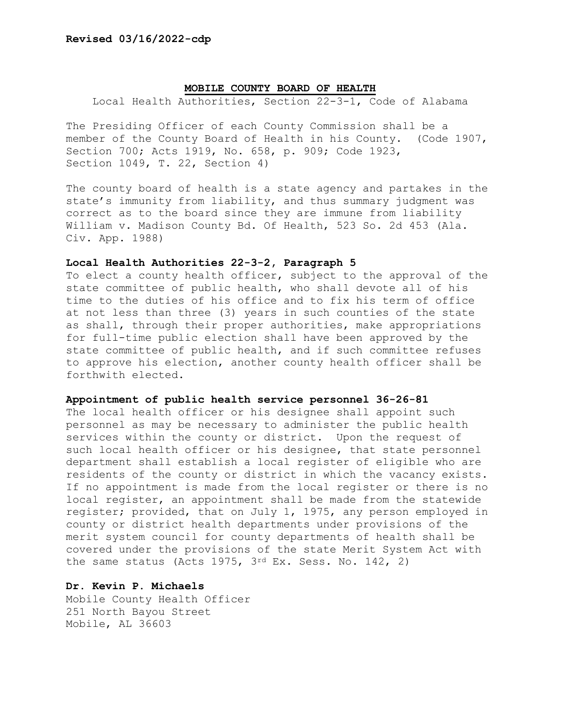## **MOBILE COUNTY BOARD OF HEALTH**

Local Health Authorities, Section 22-3-1, Code of Alabama

The Presiding Officer of each County Commission shall be a member of the County Board of Health in his County. (Code 1907, Section 700; Acts 1919, No. 658, p. 909; Code 1923, Section 1049, T. 22, Section 4)

The county board of health is a state agency and partakes in the state's immunity from liability, and thus summary judgment was correct as to the board since they are immune from liability William v. Madison County Bd. Of Health, 523 So. 2d 453 (Ala. Civ. App. 1988)

## **Local Health Authorities 22-3-2, Paragraph 5**

To elect a county health officer, subject to the approval of the state committee of public health, who shall devote all of his time to the duties of his office and to fix his term of office at not less than three (3) years in such counties of the state as shall, through their proper authorities, make appropriations for full-time public election shall have been approved by the state committee of public health, and if such committee refuses to approve his election, another county health officer shall be forthwith elected.

#### **Appointment of public health service personnel 36-26-81**

The local health officer or his designee shall appoint such personnel as may be necessary to administer the public health services within the county or district. Upon the request of such local health officer or his designee, that state personnel department shall establish a local register of eligible who are residents of the county or district in which the vacancy exists. If no appointment is made from the local register or there is no local register, an appointment shall be made from the statewide register; provided, that on July 1, 1975, any person employed in county or district health departments under provisions of the merit system council for county departments of health shall be covered under the provisions of the state Merit System Act with the same status (Acts 1975, 3rd Ex. Sess. No. 142, 2)

# **Dr. Kevin P. Michaels**

Mobile County Health Officer 251 North Bayou Street Mobile, AL 36603